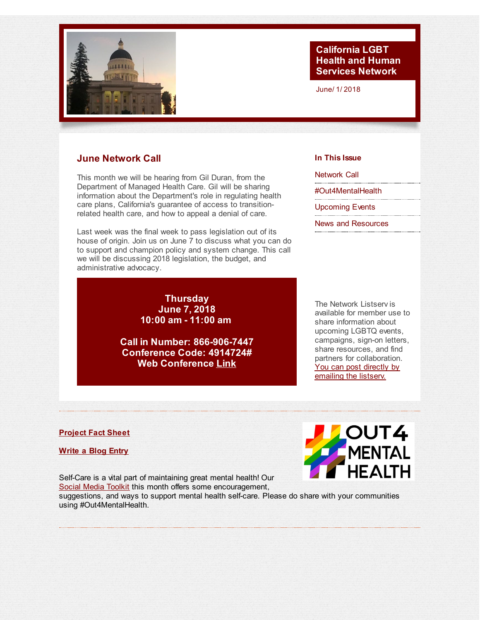<span id="page-0-0"></span>

# **California LGBT Health and Human Services Network**

June/ 1/ 2018

## **June Network Call**

This month we will be hearing from Gil Duran, from the Department of Managed Health Care. Gil will be sharing information about the Department's role in regulating health care plans, California's guarantee of access to transitionrelated health care, and how to appeal a denial of care.

Last week was the final week to pass legislation out of its house of origin. Join us on June 7 to discuss what you can do to support and champion policy and system change. This call we will be discussing 2018 legislation, the budget, and administrative advocacy.

> **Thursday June 7, 2018 10:00 am - 11:00 am**

**Call in Number: 866-906-7447 Conference Code: 4914724# Web Conference [Link](http://r20.rs6.net/tn.jsp?f=001gEyqp3dRXyZqBa2s9Z3BEqbN66hnSUxlEW_6_9qiwW_qRNNDiVQA01aCaWd7DhAsqK0w0pLeJvRKJoTG5v9kvPSnMC_D0OZfTHkKb0I8umO94T2AFDqNkRBqtb5oDFr_ucHpppffrd84MwsZQVjRBl3k-oQszPZXUf1ryLAmnr932xGeV8bYomPHINyzeCydWdwXDt8IH1UUp9n5ZsuyBRzajrfOFN5gy2YNjA_bsF0Jpypxpbf5zav4o6d3uDjDDL3-he6kqsEp_YHQpBv6PYnbxpySb8EEO8to-1TlT1UHgSBPVTQ23En5kpPlA9rNnjKsfoGSpKEwUqEzgolFVEDhb6dmnMB3PGM_DLsTCMwkTNlCpvV4lw==&c=&ch=)**

**In This Issue** [Network](#page-0-0) Call

[#Out4MentalHealth](#page-0-0)

[Upcoming](#page-0-0) Events

News and [Resources](#page-0-0)

The Network Listserv is available for member use to share information about upcoming LGBTQ events, campaigns, sign-on letters, share resources, and find partners for collaboration. You can post directly by [emailing](mailto:ca-lgbt-hhs-network-listserv@googlegroups.com) the listserv.

#### **[Project](http://r20.rs6.net/tn.jsp?f=001gEyqp3dRXyZqBa2s9Z3BEqbN66hnSUxlEW_6_9qiwW_qRNNDiVQA06cEM0SolSFyKYicKwQprz5a_KJXWlMwsZMdsJHLvboEnyfFS8EOwbuqnPgzi9fhf0JvfZxhRmuCff1oFp-j91neZ2TM6B42fobdC0mK1IB_sPwB5UBQX5cqv2kAbjGssG77dGVwMFSO3o4Ic1jCWEZCKuFbdDD2_S1Zg_rl9dqxhnNbx-Jr1y4AFIrsMdaaENTTecXslpBIegT4yUKThXu0OL_RC9255A==&c=&ch=) Fact Sheet**

**[Write](http://r20.rs6.net/tn.jsp?f=001gEyqp3dRXyZqBa2s9Z3BEqbN66hnSUxlEW_6_9qiwW_qRNNDiVQA076zrJZ7F3_ZaQ5nmKTv7nQfuZFbc8bx8LIYqLMSnRawZdzOiMfXzLPVLlwO0hdp_mVkbxOuhLnDUcMkwisQ8Rpb0T6q9zfFKZ39nTeDo8o1eRahSb1K1uQ064euDZL-wiI_biC_FPbVn2vm8H0MrkdKPTJUaYEWRiK2_7jBUY-nLlOfu31vL8o=&c=&ch=) a Blog Entry**

Self-Care is a vital part of maintaining great mental health! Our Social Media [Toolkit](http://r20.rs6.net/tn.jsp?f=001gEyqp3dRXyZqBa2s9Z3BEqbN66hnSUxlEW_6_9qiwW_qRNNDiVQA06cEM0SolSFyWY9GwLbj3RUO08Rje2k9Oh0QIXohCpfWyDcTeKNcvJysgunG4kVgOeAlmK2vaKc6i0KmmbtGnGqwKYawF4d6R3V1x9kgg8en8YVbIuS0O8kzKMbU9hTm51w84ZfE0DTX5piqsOmKKLgHt0G-_F2nFd9pUJIMhx5AYF85AonUHlA4GexHKF7wvVzYw_z0HpCWJOyeCXRHdDtDZE7X8T9SKHH28eWyAq7dFP_hrInTNAB6jQgh-bB83g==&c=&ch=) this month offers some encouragement,

suggestions, and ways to support mental health self-care. Please do share with your communities using #Out4MentalHealth.

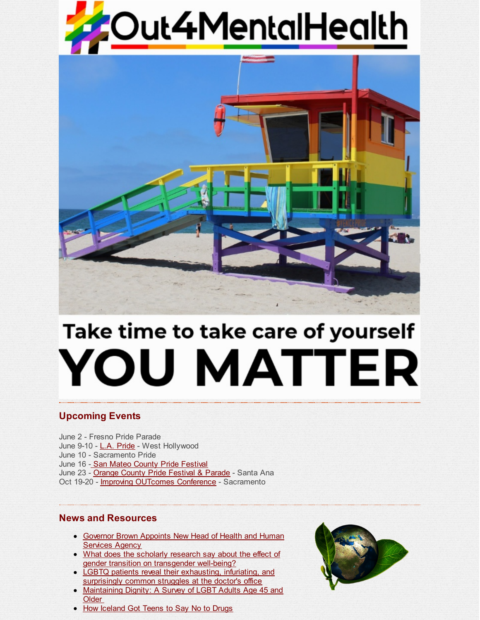



# Take time to take care of yourself **YOU MATTER**

# **Upcoming Events**

June 2 - Fresno Pride Parade June 9-10 - L.A. [Pride](http://r20.rs6.net/tn.jsp?f=001gEyqp3dRXyZqBa2s9Z3BEqbN66hnSUxlEW_6_9qiwW_qRNNDiVQA06GMq0oL85UsKdcSMOupUIcql_y61M699v5gd9lqGwZJAwWpxs8lTakregnCY5zpVxggUF8kgQ04XHiK4BDWTwtJKVyyC_Oqco7aqtRdV7390KwTP15aOm5vbYorqjZrMvwFizNXYFi_CZfxIt_tcV-_vkLYBa_5hw==&c=&ch=) - West Hollywood June 10 - Sacramento Pride June 16 - San Mateo County Pride [Festival](http://r20.rs6.net/tn.jsp?f=001gEyqp3dRXyZqBa2s9Z3BEqbN66hnSUxlEW_6_9qiwW_qRNNDiVQA06GMq0oL85Uso3yG54TTi3I9taJ1idVcZXGe_AfvRKKaQ_v2zgI39IIvVzIuk5Qyi9MVX4zKPPu618nx2TuBzYwxuMvhWDS0yecYuuj7b22VKGQIRjywwxzDco8xRhVvKQ==&c=&ch=) June 23 - Orange County Pride [Festival](http://r20.rs6.net/tn.jsp?f=001gEyqp3dRXyZqBa2s9Z3BEqbN66hnSUxlEW_6_9qiwW_qRNNDiVQA06GMq0oL85UspTNGfRc8iIzYKSWbaN8VXSBo0VDiRJUzdvcZQBmsiY4eKvYGcKwdna4boDWN8MiDvTRBddhwCfb07Ix43R_4eeI6SxymhvqS-f2W3t7sU3Q=&c=&ch=) & Parade - Santa Ana Oct 19-20 - *Improving [OUTcomes](http://r20.rs6.net/tn.jsp?f=001gEyqp3dRXyZqBa2s9Z3BEqbN66hnSUxlEW_6_9qiwW_qRNNDiVQA0_lASb9YzPC0oJjdV8bGFGQ6G0h428-gi6NSdXy1aQKZDVLcghljh_auFEx_j0TjRSlIMkeU6s-ZBcn09__5Z_ZxOCfl82ZYnhCkJ_s5MIMRSbLbHqNPtm05LPUkUdblGw0IK_XPmJDp&c=&ch=) Conference* - Sacramento

# **News and Resources**

- [Governor](http://r20.rs6.net/tn.jsp?f=001gEyqp3dRXyZqBa2s9Z3BEqbN66hnSUxlEW_6_9qiwW_qRNNDiVQA06GMq0oL85UsFi9MyTalFes3JL071-j6JtGRMN4qLDtOyVkr5dmYFeba6EUxkTYbeY3-jup0Co3QdUuZ5LHqoHqUapjJt0IpgAPtTElgF9_2wHXn4hmfEfJHacdUSz-zUBac9ELGthPhx8FmVovBSflsRqoQMtJnEJrEPLzaPOMY5hlUVsAar55DcPROR0jzFgefTxKUJkOc&c=&ch=) Brown Appoints New Head of Health and Human Services Agency
- What does the scholarly research say about the effect of gender transition on [transgender](http://r20.rs6.net/tn.jsp?f=001gEyqp3dRXyZqBa2s9Z3BEqbN66hnSUxlEW_6_9qiwW_qRNNDiVQA06GMq0oL85Us7KOzIU0t5U3A4J7PtZqYCGQpZ7Rcs8WwaRMqbTiDkLsxsCI_p2LQSXHSuUvjyoHdkjVPm9V0Qt3003deUiMm7MaZylHtvjHFv1iaWMzB2Kr1VPzx3ShiiUS2oYkb_iRbMt3atDt_tdx3lH1hfjqnsoyWBasW9gxK0_JoseQE_0Jt-0A2A65gJNZJ6cyBXGQoFJh9oYv-r182aJreCkqul4EAM_Wbw0xHDrOjkHpAYW3ML70bA7mnR06NtYOEyT6eJc6Ju6Aa0BO4EOTUUdS4Hw==&c=&ch=) well-being?
- LGBTQ patients reveal their [exhausting,](http://r20.rs6.net/tn.jsp?f=001gEyqp3dRXyZqBa2s9Z3BEqbN66hnSUxlEW_6_9qiwW_qRNNDiVQA06GMq0oL85UsH11diNoJYVLD3k3IoupqfnlIILuIVLwoNYWG0hDY72pBgWAly87-iqZqRm7AcszttkDtjFZ-EROiHy-b6zdBemdt3y3-wH0u97QL7fGF0lqcVuiQ7XFt7sXfZhP4XUbhyKPlE1e2nJphZuZCis7Ye8NRdCVqa0lnf7g5LdH8L3SozW91c01pxQ==&c=&ch=) infuriating, and surprisingly common struggles at the doctor's office
- [Maintaining](http://r20.rs6.net/tn.jsp?f=001gEyqp3dRXyZqBa2s9Z3BEqbN66hnSUxlEW_6_9qiwW_qRNNDiVQA06GMq0oL85UsdRtk3qHYpAbsV36XKTP8BQQLSYhLwQubd-cDvPD_t5rMQE9ixgWjll6U0jUG5Ew95ndrgcm0A-ZGwcmakT5z0rB19H7t3kxevX5MSN9vy3EzYZPYTSbtU5940sRl0GHSwbvuI8cHxGYa-gofkAMTRZVqF20wWcBfTNqrzwywN9KRjHjS9y5u9ox_HhKBLm49aU8QAirTuzGQkZZS00DpB1lT10GbxsoIFQz1uWkCdBp9TEKom6ReOQ==&c=&ch=) Dignity: A Survey of LGBT Adults Age 45 and **Older**
- How [Iceland](http://r20.rs6.net/tn.jsp?f=001gEyqp3dRXyZqBa2s9Z3BEqbN66hnSUxlEW_6_9qiwW_qRNNDiVQA06GMq0oL85UsSiC5uYk9t0LCJkY0kh4-u-U8tUFbQiP2hJwvZ3683e-DN2s233l8k-whrHcCHIJrZiC-3Uef6q5LqF0mKAd3JaWYI_oGa8Q2ZRYvv3OauhxD7TUuqfffBpCV8-OaXVH5Icf14DCRpWq8WX41u3w9GDijmIQ42lt5MLV6ytYQnGN0KSFmW2Oh6QXwAo9P21WA-ZWaYDIK8qA=&c=&ch=) Got Teens to Say No to Drugs